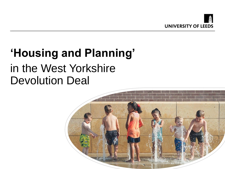

# **'Housing and Planning'**  in the West Yorkshire Devolution Deal

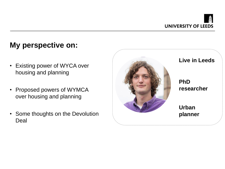

#### **My perspective on:**

- Existing power of WYCA over housing and planning
- Proposed powers of WYMCA over housing and planning
- Some thoughts on the Devolution Deal



**Live in Leeds**

**PhD researcher**

**Urban planner**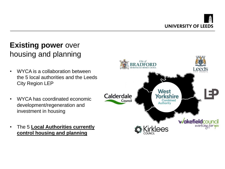## **Existing power over** housing and planning

- WYCA is a collaboration between the 5 local authorities and the Leeds City Region LEP
- WYCA has coordinated economic development/regeneration and investment in housing
- The 5 **Local Authorities currently control housing and planning**

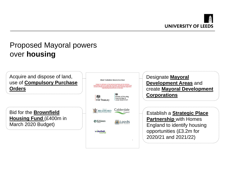

## Proposed Mayoral powers over **housing**

Acquire and dispose of land, use of **Compulsory Purchase Orders**

Bid for the **Brownfield Housing Fund** (£400m in March 2020 Budget)

| <b>West Yorkshire Devolution Deal</b>                                                                                                                                                                                                                                          |                                                                  |
|--------------------------------------------------------------------------------------------------------------------------------------------------------------------------------------------------------------------------------------------------------------------------------|------------------------------------------------------------------|
| Subject to ratification of the deal by all partners and the statutory<br>requirements referred to within this document, including the consent of all<br>councils affected and parliamentary approval of the secondary legislation<br>implementing the provisions of this Deal. |                                                                  |
| 1 Treasurv                                                                                                                                                                                                                                                                     | Ministry of Housing,<br>Communities &<br><b>Local Government</b> |
| City of<br><b>ITAN DISTRICT</b>                                                                                                                                                                                                                                                | Calderdale<br>Council                                            |
| Kirklees                                                                                                                                                                                                                                                                       |                                                                  |
| <b><i><u>v/akefie</u></i></b>                                                                                                                                                                                                                                                  |                                                                  |
|                                                                                                                                                                                                                                                                                | 1                                                                |

Designate **Mayoral Development Areas** and create **Mayoral Development Corporations** 

Establish a **Strategic Place Partnership** with Homes England to identify housing opportunities (£3.2m for 2020/21 and 2021/22)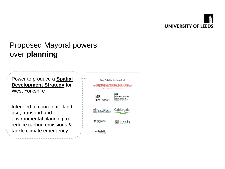

## Proposed Mayoral powers over **planning**

Power to produce a **Spatial Development Strategy** for West Yorkshire

Intended to coordinate landuse, transport and environmental planning to reduce carbon emissions & tackle climate emergency